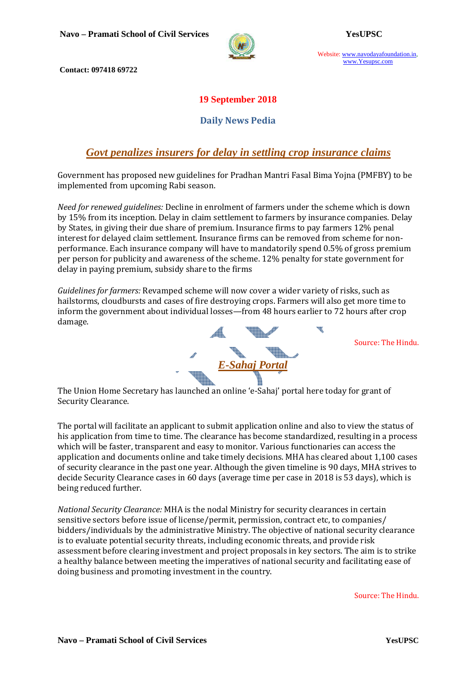

Website: www.navodayafoundation.in, www.Yesupsc.com

 **Contact: 097418 69722** 

## **19 September 2018**

### **Daily News Pedia**

## *Govt penalizes insurers for delay in settling crop insurance claims*

Government has proposed new guidelines for Pradhan Mantri Fasal Bima Yojna (PMFBY) to be implemented from upcoming Rabi season.

*Need for renewed guidelines:* Decline in enrolment of farmers under the scheme which is down by 15% from its inception*.* Delay in claim settlement to farmers by insurance companies*.* Delay by States, in giving their due share of premium*.* Insurance firms to pay farmers 12% penal interest for delayed claim settlement. Insurance firms can be removed from scheme for nonperformance. Each insurance company will have to mandatorily spend 0.5% of gross premium per person for publicity and awareness of the scheme. 12% penalty for state government for delay in paying premium, subsidy share to the firms

*Guidelines for farmers:* Revamped scheme will now cover a wider variety of risks, such as hailstorms, cloudbursts and cases of fire destroying crops. Farmers will also get more time to inform the government about individual losses—from 48 hours earlier to 72 hours after crop damage. qï



Source: The Hindu.

The Union Home Secretary has launched an online 'e-Sahaj' portal here today for grant of Security Clearance.

The portal will facilitate an applicant to submit application online and also to view the status of his application from time to time. The clearance has become standardized, resulting in a process which will be faster, transparent and easy to monitor. Various functionaries can access the application and documents online and take timely decisions. MHA has cleared about 1,100 cases of security clearance in the past one year. Although the given timeline is 90 days, MHA strives to decide Security Clearance cases in 60 days (average time per case in 2018 is 53 days), which is being reduced further.

*National Security Clearance:* MHA is the nodal Ministry for security clearances in certain sensitive sectors before issue of license/permit, permission, contract etc, to companies/ bidders/individuals by the administrative Ministry. The objective of national security clearance is to evaluate potential security threats, including economic threats, and provide risk assessment before clearing investment and project proposals in key sectors. The aim is to strike a healthy balance between meeting the imperatives of national security and facilitating ease of doing business and promoting investment in the country.

Source: The Hindu.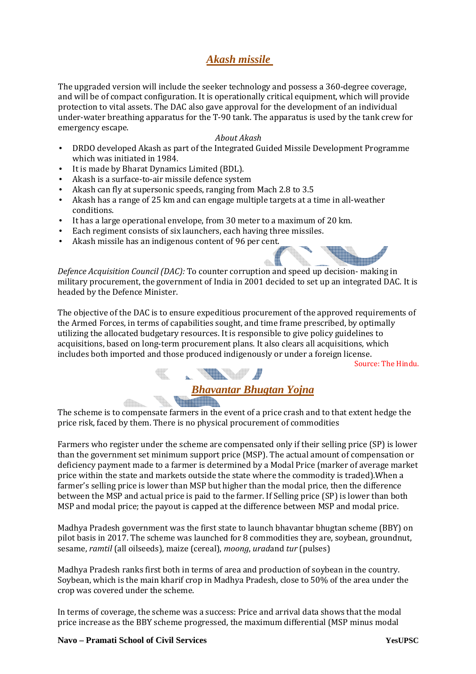# *Akash missile*

The upgraded version will include the seeker technology and possess a 360-degree coverage, and will be of compact configuration. It is operationally critical equipment, which will provide protection to vital assets. The DAC also gave approval for the development of an individual under-water breathing apparatus for the T-90 tank. The apparatus is used by the tank crew for emergency escape.

#### *About Akash*

- DRDO developed Akash as part of the Integrated Guided Missile Development Programme which was initiated in 1984.
- It is made by Bharat Dynamics Limited (BDL).
- Akash is a surface-to-air missile defence system
- Akash can fly at supersonic speeds, ranging from Mach 2.8 to 3.5
- Akash has a range of 25 km and can engage multiple targets at a time in all-weather conditions.
- It has a large operational envelope, from 30 meter to a maximum of 20 km.
- Each regiment consists of six launchers, each having three missiles.
- Akash missile has an indigenous content of 96 per cent.

*Defence Acquisition Council (DAC):* To counter corruption and speed up decision- making in military procurement, the government of India in 2001 decided to set up an integrated DAC. It is headed by the Defence Minister.

 $\triangle$ 

The objective of the DAC is to ensure expeditious procurement of the approved requirements of the Armed Forces, in terms of capabilities sought, and time frame prescribed, by optimally utilizing the allocated budgetary resources. It is responsible to give policy guidelines to acquisitions, based on long-term procurement plans. It also clears all acquisitions, which includes both imported and those produced indigenously or under a foreign license.

Source: The Hindu.



The scheme is to compensate farmers in the event of a price crash and to that extent hedge the price risk, faced by them. There is no physical procurement of commodities

Farmers who register under the scheme are compensated only if their selling price (SP) is lower than the government set minimum support price (MSP). The actual amount of compensation or deficiency payment made to a farmer is determined by a Modal Price (marker of average market price within the state and markets outside the state where the commodity is traded).When a farmer's selling price is lower than MSP but higher than the modal price, then the difference between the MSP and actual price is paid to the farmer. If Selling price (SP) is lower than both MSP and modal price; the payout is capped at the difference between MSP and modal price.

Madhya Pradesh government was the first state to launch bhavantar bhugtan scheme (BBY) on pilot basis in 2017. The scheme was launched for 8 commodities they are, soybean, groundnut, sesame, *ramtil* (all oilseeds), maize (cereal), *moong*, *urad*and *tur* (pulses)

Madhya Pradesh ranks first both in terms of area and production of soybean in the country. Soybean, which is the main kharif crop in Madhya Pradesh, close to 50% of the area under the crop was covered under the scheme.

In terms of coverage, the scheme was a success: Price and arrival data shows that the modal price increase as the BBY scheme progressed, the maximum differential (MSP minus modal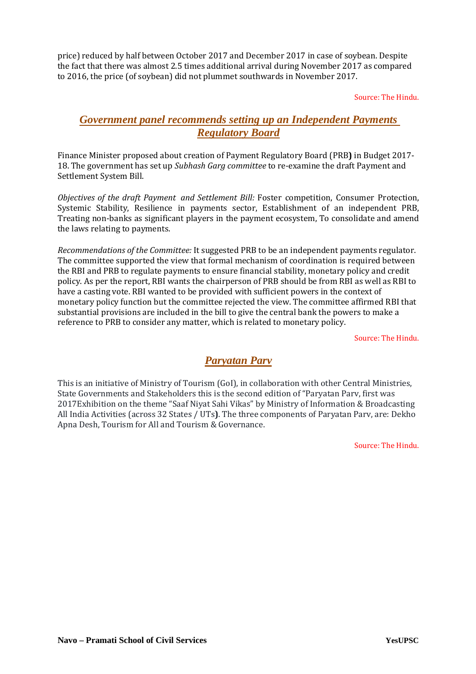price) reduced by half between October 2017 and December 2017 in case of soybean. Despite the fact that there was almost 2.5 times additional arrival during November 2017 as compared to 2016, the price (of soybean) did not plummet southwards in November 2017.

Source: The Hindu.

## *Government panel recommends setting up an Independent Payments Regulatory Board*

Finance Minister proposed about creation of Payment Regulatory Board (PRB**)** in Budget 2017- 18. The government has set up *Subhash Garg committee* to re-examine the draft Payment and Settlement System Bill.

*Objectives of the draft Payment and Settlement Bill:* Foster competition, Consumer Protection, Systemic Stability, Resilience in payments sector, Establishment of an independent PRB, Treating non-banks as significant players in the payment ecosystem, To consolidate and amend the laws relating to payments.

*Recommendations of the Committee:* It suggested PRB to be an independent payments regulator. The committee supported the view that formal mechanism of coordination is required between the RBI and PRB to regulate payments to ensure financial stability, monetary policy and credit policy. As per the report, RBI wants the chairperson of PRB should be from RBI as well as RBI to have a casting vote. RBI wanted to be provided with sufficient powers in the context of monetary policy function but the committee rejected the view. The committee affirmed RBI that substantial provisions are included in the bill to give the central bank the powers to make a reference to PRB to consider any matter, which is related to monetary policy.

Source: The Hindu.

## *Paryatan Parv*

This is an initiative of Ministry of Tourism (GoI), in collaboration with other Central Ministries, State Governments and Stakeholders this is the second edition of "Paryatan Parv, first was 2017Exhibition on the theme "Saaf Niyat Sahi Vikas" by Ministry of Information & Broadcasting All India Activities (across 32 States / UTs**)**. The three components of Paryatan Parv, are: Dekho Apna Desh, Tourism for All and Tourism & Governance.

Source: The Hindu.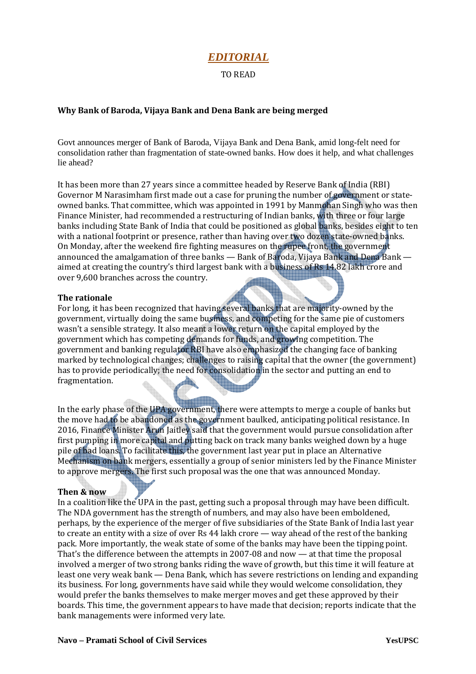## *EDITORIAL*

#### TO READ

#### **Why Bank of Baroda, Vijaya Bank and Dena Bank are being merged**

Govt announces merger of Bank of Baroda, Vijaya Bank and Dena Bank, amid long-felt need for consolidation rather than fragmentation of state-owned banks. How does it help, and what challenges lie ahead?

It has been more than 27 years since a committee headed by Reserve Bank of India (RBI) Governor M Narasimham first made out a case for pruning the number of government or stateowned banks. That committee, which was appointed in 1991 by Manmohan Singh who was then Finance Minister, had recommended a restructuring of Indian banks, with three or four large banks including State Bank of India that could be positioned as global banks, besides eight to ten with a national footprint or presence, rather than having over two dozen state-owned banks. On Monday, after the weekend fire fighting measures on the rupee front, the government announced the amalgamation of three banks — Bank of Baroda, Vijaya Bank and Dena Bank aimed at creating the country's third largest bank with a business of Rs 14.82 lakh crore and over 9,600 branches across the country.

#### **The rationale**

For long, it has been recognized that having several banks that are majority-owned by the government, virtually doing the same business, and competing for the same pie of customers wasn't a sensible strategy. It also meant a lower return on the capital employed by the government which has competing demands for funds, and growing competition. The government and banking regulator RBI have also emphasized the changing face of banking marked by technological changes; challenges to raising capital that the owner (the government) has to provide periodically; the need for consolidation in the sector and putting an end to fragmentation.

In the early phase of the UPA government, there were attempts to merge a couple of banks but the move had to be abandoned as the government baulked, anticipating political resistance. In 2016, Finance Minister Arun Jaitley said that the government would pursue consolidation after first pumping in more capital and putting back on track many banks weighed down by a huge pile of bad loans. To facilitate this, the government last year put in place an Alternative Mechanism on bank mergers, essentially a group of senior ministers led by the Finance Minister to approve mergers. The first such proposal was the one that was announced Monday.

#### **Then & now**

In a coalition like the UPA in the past, getting such a proposal through may have been difficult. The NDA government has the strength of numbers, and may also have been emboldened, perhaps, by the experience of the merger of five subsidiaries of the State Bank of India last year to create an entity with a size of over Rs 44 lakh crore — way ahead of the rest of the banking pack. More importantly, the weak state of some of the banks may have been the tipping point. That's the difference between the attempts in 2007-08 and now — at that time the proposal involved a merger of two strong banks riding the wave of growth, but this time it will feature at least one very weak bank — Dena Bank, which has severe restrictions on lending and expanding its business. For long, governments have said while they would welcome consolidation, they would prefer the banks themselves to make merger moves and get these approved by their boards. This time, the government appears to have made that decision; reports indicate that the bank managements were informed very late.